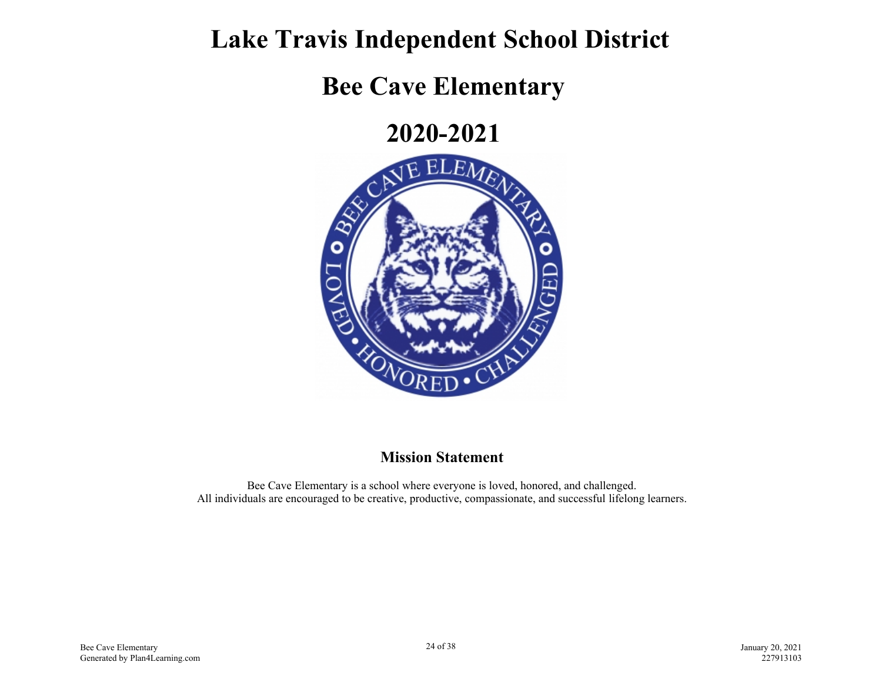#### **Lake Travis Independent School District**

## **Bee Cave Elementary**

### **2020-2021**



#### **Mission Statement**

Bee Cave Elementary is a school where everyone is loved, honored, and challenged. All individuals are encouraged to be creative, productive, compassionate, and successful lifelong learners.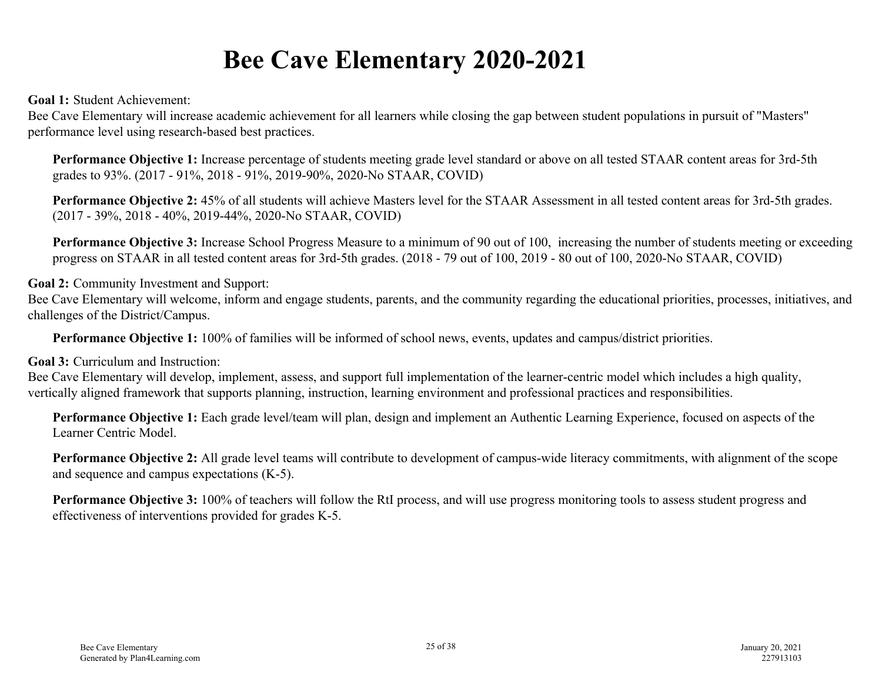# **Bee Cave Elementary 2020-2021**

**Goal 1:** Student Achievement:

Bee Cave Elementary will increase academic achievement for all learners while closing the gap between student populations in pursuit of "Masters" performance level using research-based best practices.

**Performance Objective 1:** Increase percentage of students meeting grade level standard or above on all tested STAAR content areas for 3rd-5th grades to 93%. (2017 - 91%, 2018 - 91%, 2019-90%, 2020-No STAAR, COVID)

**Performance Objective 2:** 45% of all students will achieve Masters level for the STAAR Assessment in all tested content areas for 3rd-5th grades. (2017 - 39%, 2018 - 40%, 2019-44%, 2020-No STAAR, COVID)

**Performance Objective 3:** Increase School Progress Measure to a minimum of 90 out of 100, increasing the number of students meeting or exceeding progress on STAAR in all tested content areas for 3rd-5th grades. (2018 - 79 out of 100, 2019 - 80 out of 100, 2020-No STAAR, COVID)

**Goal 2:** Community Investment and Support:

Bee Cave Elementary will welcome, inform and engage students, parents, and the community regarding the educational priorities, processes, initiatives, and challenges of the District/Campus.

**Performance Objective 1:** 100% of families will be informed of school news, events, updates and campus/district priorities.

**Goal 3:** Curriculum and Instruction:

Bee Cave Elementary will develop, implement, assess, and support full implementation of the learner-centric model which includes a high quality, vertically aligned framework that supports planning, instruction, learning environment and professional practices and responsibilities.

**Performance Objective 1:** Each grade level/team will plan, design and implement an Authentic Learning Experience, focused on aspects of the Learner Centric Model.

**Performance Objective 2:** All grade level teams will contribute to development of campus-wide literacy commitments, with alignment of the scope and sequence and campus expectations (K-5).

**Performance Objective 3:** 100% of teachers will follow the RtI process, and will use progress monitoring tools to assess student progress and effectiveness of interventions provided for grades K-5.